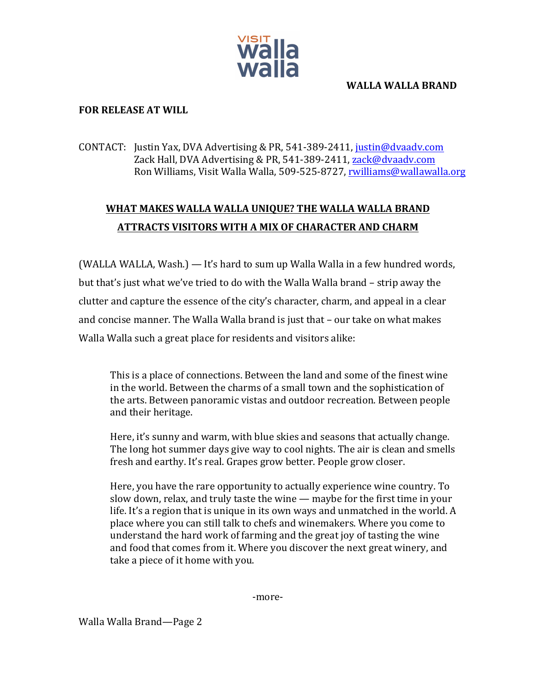

#### **WALLA WALLA BRAND**

## **FOR RELEASE AT WILL**

## CONTACT: Justin Yax, DVA Advertising & PR, 541-389-2411, justin@dvaadv.com Zack Hall, DVA Advertising & PR, 541-389-2411, zack@dvaadv.com Ron Williams, Visit Walla Walla, 509-525-8727, rwilliams@wallawalla.org

# WHAT MAKES WALLA WALLA UNIQUE? THE WALLA WALLA BRAND **ATTRACTS VISITORS WITH A MIX OF CHARACTER AND CHARM**

(WALLA WALLA, Wash.) — It's hard to sum up Walla Walla in a few hundred words, but that's just what we've tried to do with the Walla Walla brand – strip away the clutter and capture the essence of the city's character, charm, and appeal in a clear and concise manner. The Walla Walla brand is just that - our take on what makes Walla Walla such a great place for residents and visitors alike:

This is a place of connections. Between the land and some of the finest wine in the world. Between the charms of a small town and the sophistication of the arts. Between panoramic vistas and outdoor recreation. Between people and their heritage.

Here, it's sunny and warm, with blue skies and seasons that actually change. The long hot summer days give way to cool nights. The air is clean and smells fresh and earthy. It's real. Grapes grow better. People grow closer.

Here, you have the rare opportunity to actually experience wine country. To slow down, relax, and truly taste the wine  $-$  maybe for the first time in your life. It's a region that is unique in its own ways and unmatched in the world. A place where you can still talk to chefs and winemakers. Where you come to understand the hard work of farming and the great joy of tasting the wine and food that comes from it. Where you discover the next great winery, and take a piece of it home with you.

-more-

Walla Walla Brand—Page 2